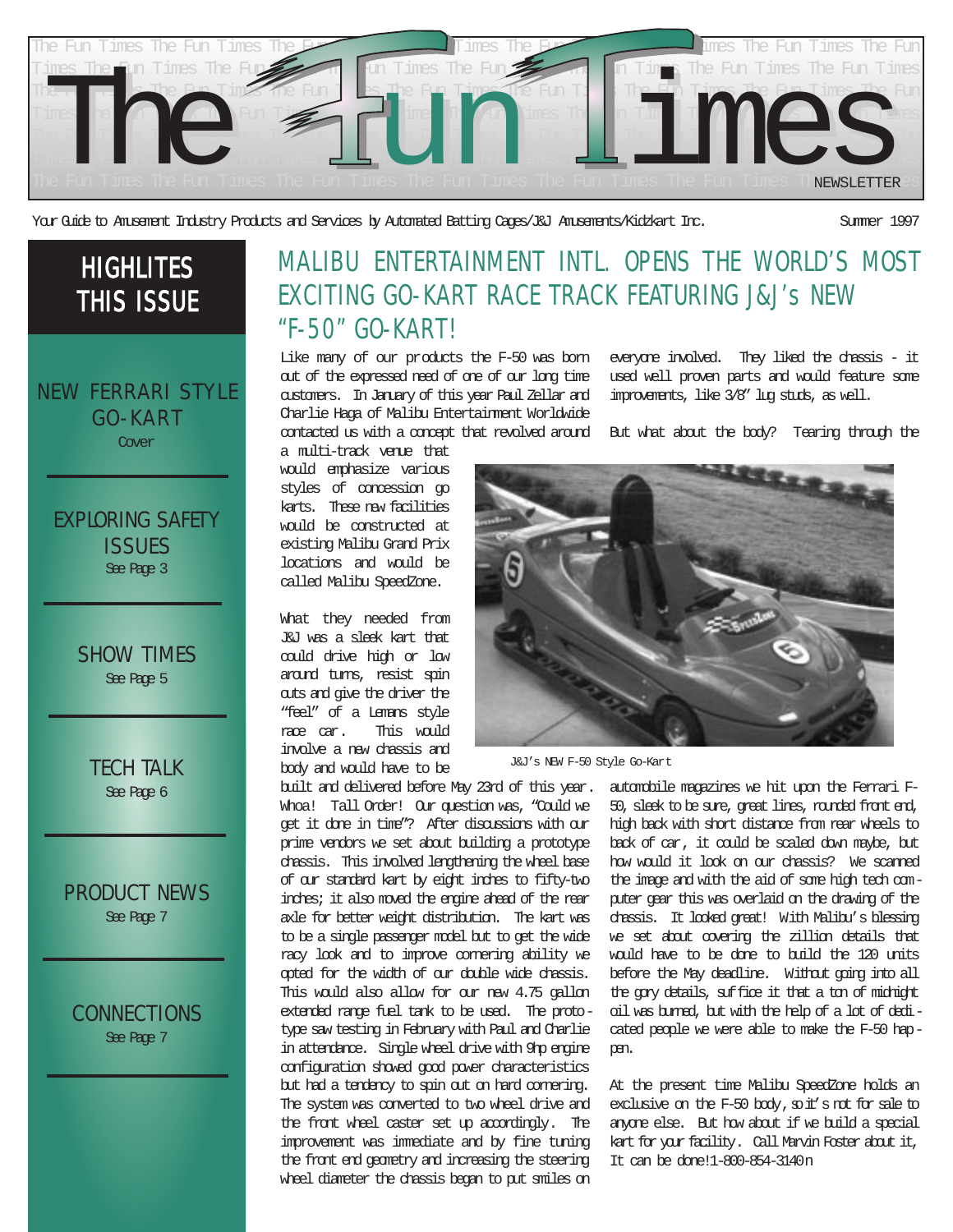

Your Guide to Amusement Industry Products and Services by Automated Batting Cages/J&J Amusements/Kidzkart Inc. Summer 1997

# HIGHLITES THIS ISSUE

NEW FERRARI STYLE GO-KART

Cover

EXPLORING SAFETY ISSUES

See Page 3

SHOW TIMES See Page 5

TECH TALK See Page 6

PRODUCT NEWS

See Page 7

CONNECTIONS See Page 7

## MALIBU ENTERTAINMENT INTL. OPENS THE WORLD'S MOST EXCITING GO-KART RACE TRACK FEATURING J&J's NEW "F-50" GO-KART!

Like many of our products the F-50 was born out of the expressed need of one of our long time customers. In January of this year Paul Zellar and Charlie Haga of Malibu Entertainment Worldwide contacted us with a concept that revolved around But what about the body? Tearing through the

a multi-track venue that would emphasize various styles of concession go karts. These new facilities would be constructed at existing Malibu Grand Prix locations and would be called Malibu SpeedZone.

What they needed from J&J was a sleek kart that could drive high or low around turns, resist spin outs and give the driver the "feel" of a Lemans style race car. This would involve a new chassis and body and would have to be

built and delivered before May 23rd of this year. Whoa! Tall Order! Our question was, "Could we get it done in time"? After discussions with our prime vendors we set about building a prototype chassis. This involved lengthening the wheel base of our standard kart by eight inches to fifty-two inches; it also moved the engine ahead of the rear axle for better weight distribution. The kart was to be a single passenger model but to get the wide racy look and to improve cornering ability we opted for the width of our double wide chassis. This would also allow for our new 4.75 gallon extended range fuel tank to be used. The prototype saw testing in February with Paul and Charlie in attendance. Single wheel drive with 9hp engine configuration showed good power characteristics but had a tendency to spin out on hard cornering. The system was converted to two wheel drive and the front wheel caster set up accordingly. The improvement was immediate and by fine tuning the front end geometry and increasing the steering wheel diameter the chassis began to put smiles on



J&J's NEW F-50 Style Go-Kart

automobile magazines we hit upon the Ferrari F-50, sleek to be sure, great lines, rounded front end, high back with short distance from rear wheels to back of car, it could be scaled down maybe, but how would it look on our chassis? We scanned the image and with the aid of some high tech computer gear this was overlaid on the drawing of the chassis. It looked great! With Malibu's blessing we set about covering the zillion details that would have to be done to build the 120 units before the May deadline. Without going into all the gory details, suffice it that a ton of midnight oil was burned, but with the help of a lot of dedicated people we were able to make the F-50 happen.

everyone involved. They liked the chassis - it used well proven parts and would feature some improvements, like 3/8" lug studs, as well.

At the present time Malibu SpeedZone holds an exclusive on the  $F-50$  body,  $s$  it's not for sale to anyone else. But how about if we build a special kart for your facility. Call Marvin Foster about it, It can be done!1-800-854-3140n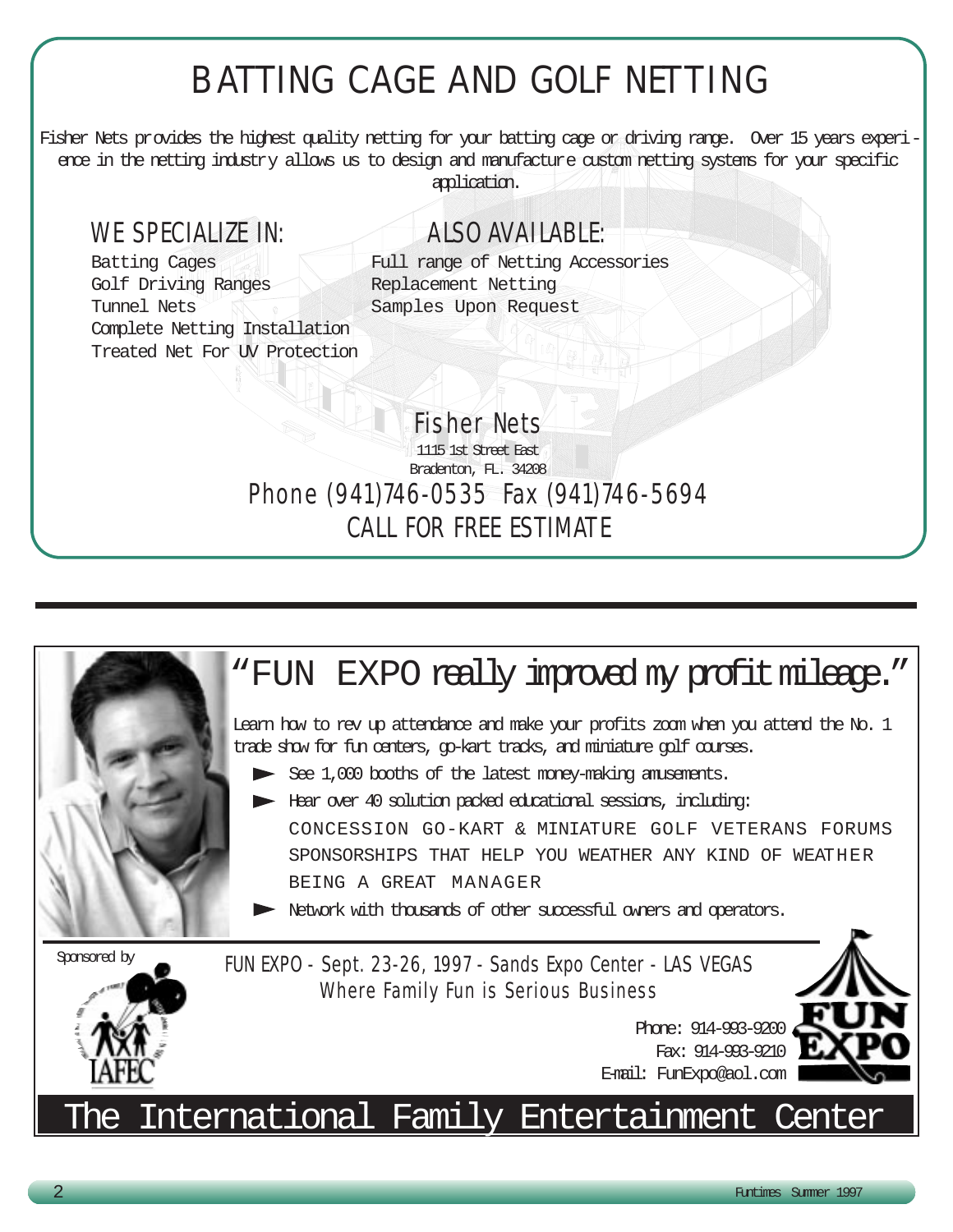# B ATTING CAGE AND GOLF NETTING

Fisher Nets provides the highest quality netting for your batting cage or driving range. Over 15 years experience in the netting industry allows us to design and manufacture custom netting systems for your specific application.

# WE SPECIALIZE IN: ALSO AVAILABLE:

Golf Driving Ranges Replacement Netting Tunnel Nets **Samples** Upon Request Complete Netting Installation Treated Net For UV Protection

Batting Cages Full range of Netting Accessories

1115 1st Street East Bradenton, FL. 34208 Phone (941)746-0535 Fax (941)746-5694 CALL FOR FREE ESTIMATE

Fisher Nets

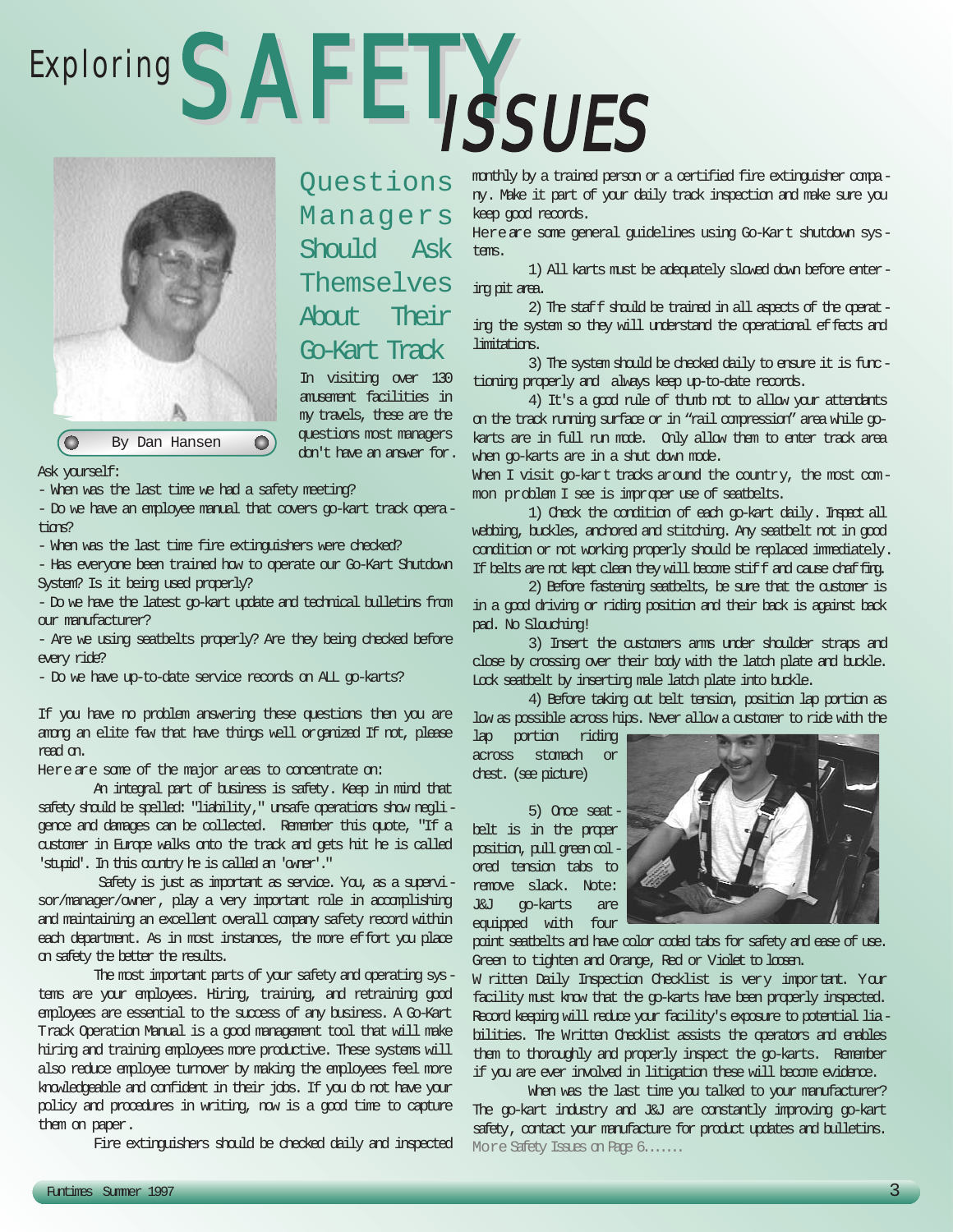# Exploring SAFETYSSUES



Questions Managers Should Ask Themselves About Their Go-Kart Track In visiting over 130 amusement facilities in my travels, these are the

questions most managers don't have an answer for.

Ask yourself:

- When was the last time we had a safety meeting?

- Do we have an employee manual that covers go-kart track opera $time$ 

- When was the last time fire extinguishers were checked?

- Has everyone been trained how to operate our Go-Kart Shutdown System? Is it being used properly?

- Do we have the latest go-kart update and technical bulletins from our manufacturer?

- Are we using seatbelts properly? Are they being checked before every ride?

- Do we have up-to-date service records on ALL go-karts?

If you have no problem answering these questions then you are arrorg an elite few that have things well organized If not, please read on.

Here are some of the major areas to concentrate on:

An integral part of business is safety. Keep in mind that safety should be spelled: "liability," unsafe operations show negligence and damages can be collected. Remember this quote, "If a customer in Europe walks onto the track and gets hit he is called 'stupid'. In this country he is called an 'owner'."

Safety is just as important as service. You, as a supervisor/manager/owner, play a very important role in accomplishing and maintaining an excellent overall company safety record within each department. As in most instances, the more effort you place on safety the better the results.

The most important parts of your safety and operating systems are your employees. Hiring, training, and retraining good employees are essential to the success of any business. A Go-Kart Track Operation Manual is a good management tool that will make hiring and training employees more productive. These systems will also reduce employee turnover by making the employees feel more knowledgeable and confident in their jobs. If you do not have your policy and procedures in writing, now is a good time to capture them on paper.

Fire extinguishers should be checked daily and inspected

monthly by a trained person or a certified fire extinguisher company. Make it part of your daily track inspection and make sure you keep good records.

Hereare some general guidelines using Go-Kart shutdown systems.

1) All karts must be adequately slowed down before entering pit area.

2) The staff should be trained in all aspects of the operating the system so they will understand the operational effects and limitations.

3) The system should be checked daily to ensure it is functioning properly and always keep up-to-date records.

4) It's a good rule of thumb not to allow your attendants on the track running surface or in "rail compression" area while gokarts are in full run mode. Only allow them to enter track area when go-karts are in a shut down mode.

When I visit go-kart tracks around the country, the most common problem I see is improper use of seatbelts.

1) Check the condition of each go-kart daily. Inspect all webbing, buckles, andhored and stitching. Any seatbelt not in good condition or not working properly should be replaced immediately. If belts are not kept clean they will become stiff and cause chaffing.

2) Before fastening seatbelts, be sure that the customer is in a good driving or riding position and their back is against back pad. No Slouching!

3) Insert the customers arms under shoulder straps and close by crossing over their body with the latch plate and buckle. Lock seatbelt by inserting male latch plate into buckle.

4) Before taking out belt tension, position lap portion as low as possible across hips. Never allow a customer to ride with the

lap portion riding across stomach or chest. (see picture)

5) Once seatbelt is in the proper position, pull green colored tension tabs to remove slack. Note: J&J go-karts are equipped with four



point seatbelts and have color coded tabs for safety and ease of use. Green to tighten and Orange, Red or Violet to loosen.

W ritten Daily Inspection Checklist is very important. Your facility must know that the go-karts have been properly inspected. Record keeping will reduce your facility's exposure to potential liabilities. The Written Checklist assists the operators and enables them to thoroughly and properly inspect the go-karts. Remember if you are ever involved in litigation these will become evidence.

When was the last time you talked to your manufacturer? The go-kart industry and J&J are constantly improving go-kart safety, contact your manufacture for product updates and bulletins. More Safety Issues on Page 6.......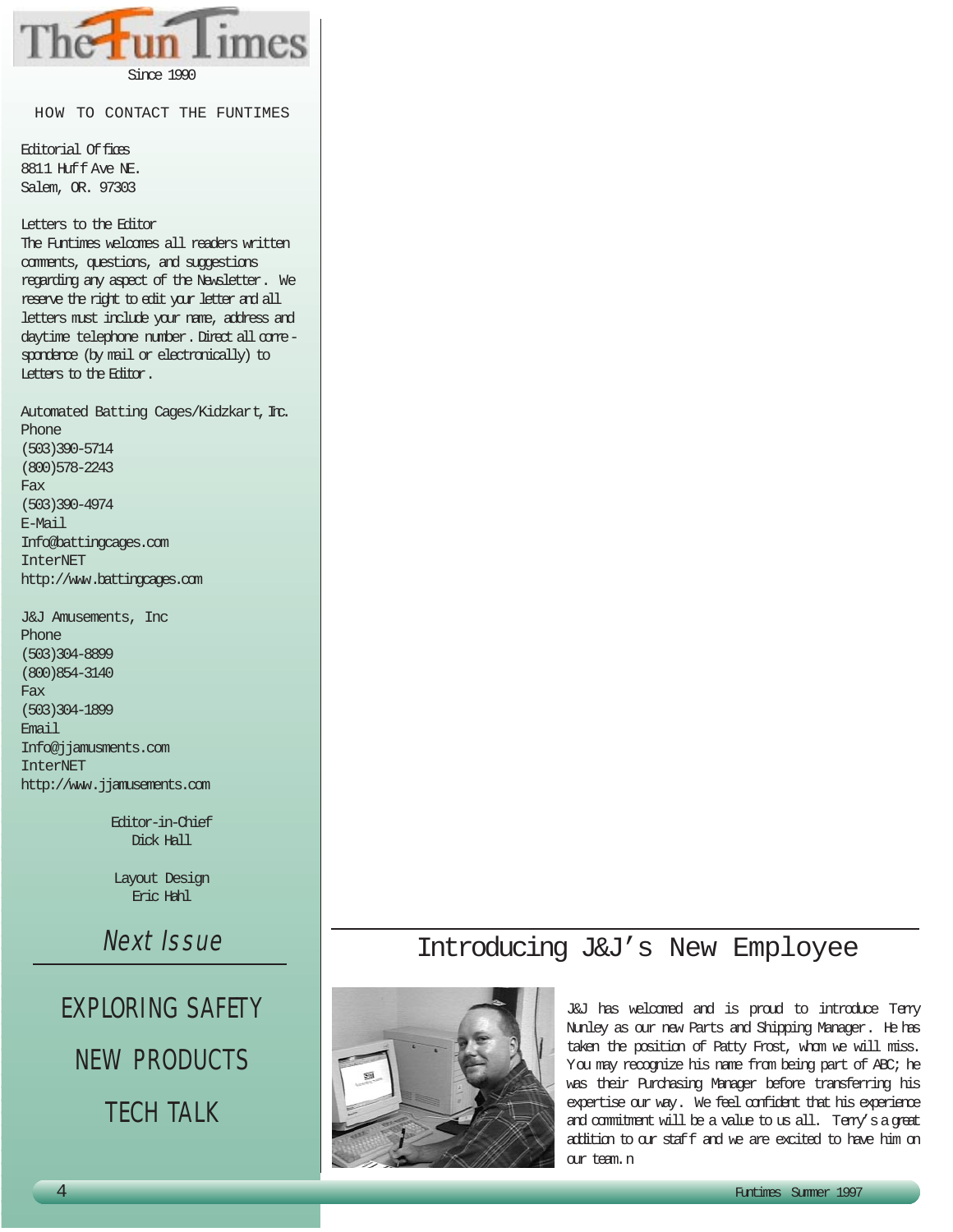Since 1990

HOW TO CONTACT THE FUNTIMES

Editorial Of fices 8811 Huff Ave NE. Salem, OR. 97303

Letters to the Editor The Funtimes welcomes all readers written comments, questions, and suggestions regarding any aspect of the Newsletter. We reserve the right to edit your letter and all letters must include your name, address and daytime telephone number. Direct all correspondence (by mail or electronically) to Letters to the Editor.

Automated Batting Cages/Kidzkart, Inc. Phone (503)390-5714 (800)578-2243 Fax (503)390-4974 E-Mail Info@battingcages.com InterNET http://www.battingcages.com

J&J Amusements, Inc Phone (503)304-8899 (800)854-3140 Fax (503)304-1899 Email Info@jjamusments.com InterNET http://www.jjamusements.com

> Editor-in-Chief Dick Hall

Layout Design Eric Hahl

Next Issue

# EXPLORING SAFETY NEW PRODUCTS TECH TALK

### Introducing J&J's New Employee



J&J has welcomed and is proud to introduce Terry Nunley as our new Parts and Shipping Manager. He has taken the position of Patty Frost, whom we will miss. You may recognize his name from being part of ABC; he was their Purchasing Manager before transferring his expertise our way. We feel confident that his experience and commitment will be a value to us all. Terry'sagreat addition to our staff and we are excited to have him on our team.n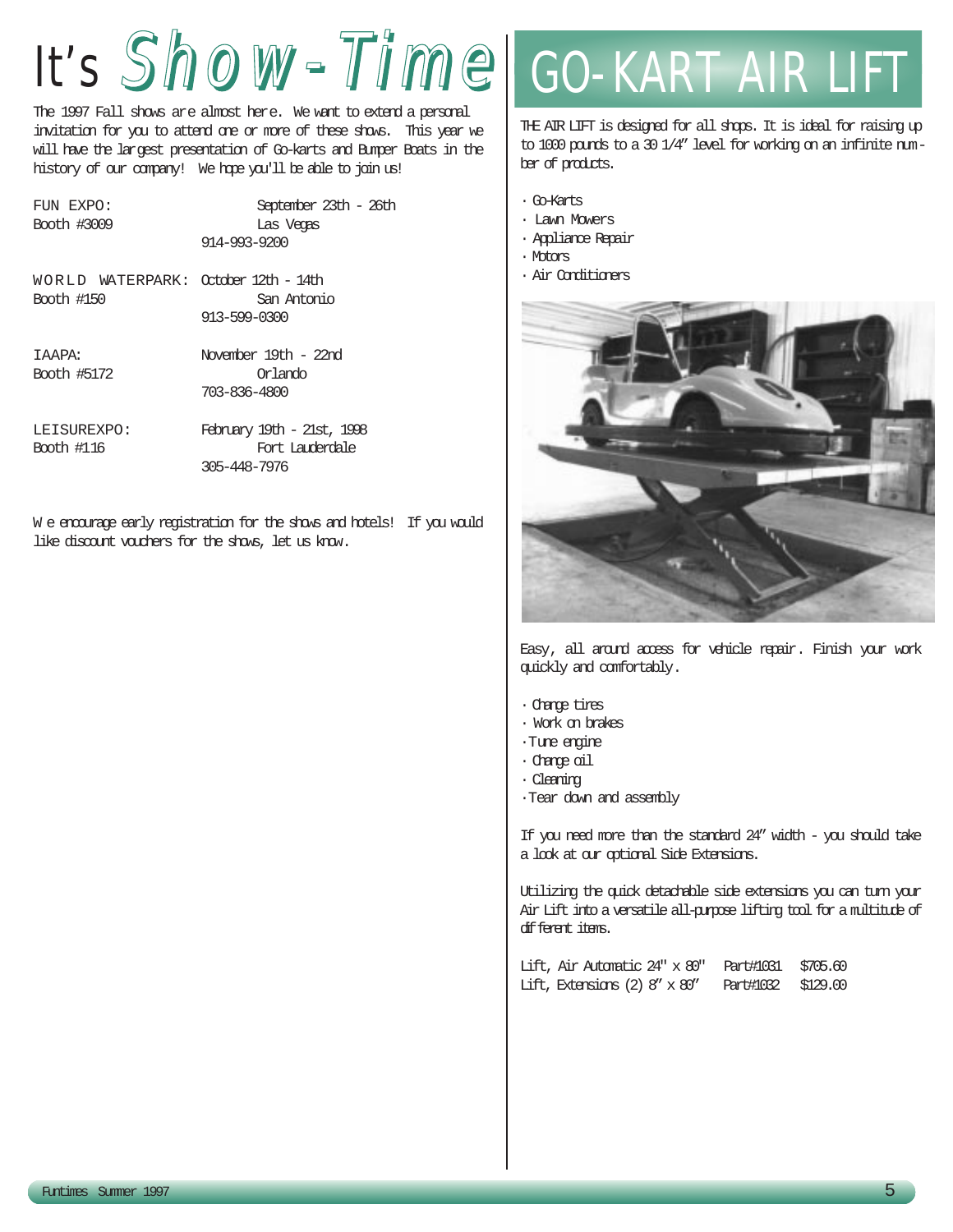# It's Show-Time Go-KART AIR LIFT

The 1997 Fall shows are almost here. We want to extend a personal invitation for you to attend one or more of these shows. This year we will have the largest presentation of Go-karts and Bumper Boats in the history of our company! We hope you'll be able to join us!

FUN EXPO: September 23th - 26th Booth #3009 Las Vegas 914-993-9200 WORLD WATERPARK: October 12th - 14th Booth #150 San Antonio 913-599-0300 IAAPA: November 19th - 22nd

Booth #5172 Orlando 703-836-4800

LEISUREXPO: February 19th - 21st, 1998 Booth #116 Fort Lauderdale 305-448-7976

W e encourage early registration for the shows and hotels! If you would like discount vouchers for the shows, let us know.

THE AIR LIFT is designed for all shops. It is ideal for raising up to 1000 pounds to a 30 1/4" level for working on an infinite number of products.

- · Go-Karts
- · Lawn Mowers
- · Appliance Repair
- · Motors
- · Air Conditioners



Easy, all around access for vehicle repair. Finish your work quickly and comfortably.

- · Change tires
- · Work on brakes
- ·Tune engine
- · Change oil
- · Cleaning
- ·Tear down and assembly

If you need more than the standard 24" width - you should take a look at our optional Side Extensions.

Utilizing the quick detachable side extensions you can turn your Air Lift into a versatile all-purpose lifting tool for a multitude of different items.

Lift, Air Automatic 24" x 80" Part#1031 \$705.60 Lift, Extensions (2) 8" x 80" Part#1032 \$129.00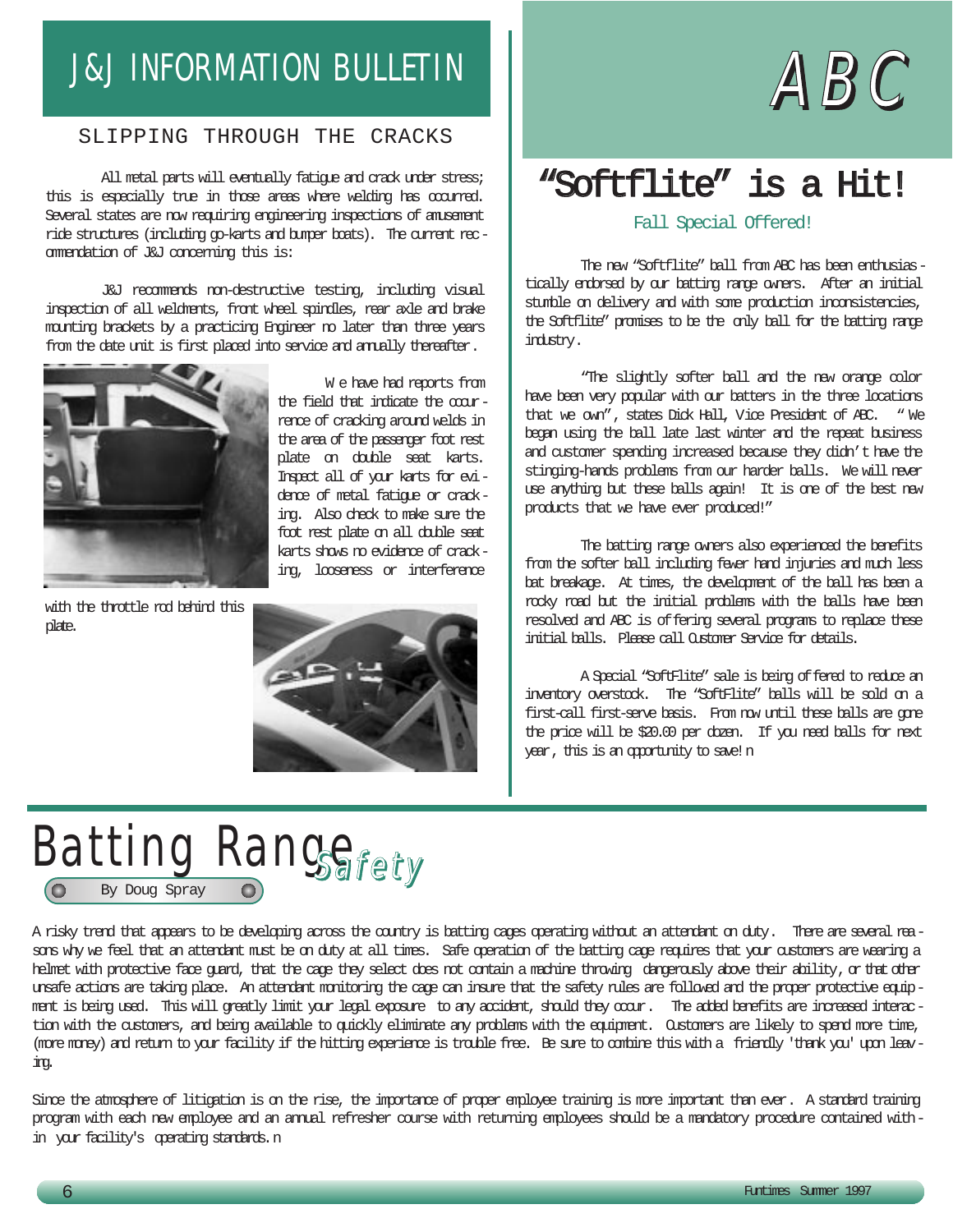# J&J INFORMATION BULLETIN  $\blacksquare$   $\blacksquare$   $\blacksquare$   $\blacksquare$   $\blacksquare$   $\blacksquare$   $\blacksquare$   $\blacksquare$

### SLIPPING THROUGH THE CRACKS

All metal parts will eventually fatigue and crack under stress; this is especially true in those areas where welding has occurred. Several states are now requiring engineering inspections of amusement ride structures (including go-karts and bumper boats). The current recommendation of J&J concerning this is:

J&J recommends non-destructive testing, including visual inspection of all weldments, front wheel spindles, rear axle and brake mounting brackets by a practicing Engineer no later than three years from the date unit is first placed into service and annally thereafter.



W e have had reports from the field that indicate the occurrence of cracking around welds in the area of the passenger foot rest plate on double seat karts. Inspect all of your karts for evidence of metal fatigue or cracking. Also check to make sure the foot rest plate on all double seat karts shows no evidence of cracking, looseness or interference

with the throttle rod behind this plate.



# "Softflite" is a Hit!

### Fall Special Offered!

The new "Softflite" ball from ABC has been enthusiastically endorsed by our batting range owners. After an initial stumble on delivery and with some production inconsistencies, the Softflite" promises to be the only ball for the batting range industry.

"The slightly softer ball and the new orange color have been very popular with our batters in the three locations that we own", states Dick Hall, Vice President of ABC. " We began using the ball late last winter and the repeat business and customer spending increased because they didn't have the stinging-hands problems from our harder balls. We will never use anything but these balls again! It is one of the best new products that we have ever produced!"

The batting range owners also experienced the benefits from the softer ball including fewer hand injuries and much less bat breakage. At times, the development of the ball has been a rocky road but the initial problems with the balls have been resolved and ABC is offering several programs to replace these initial balls. Please call Customer Service for details.

A Special "SoftFlite" sale is being of fered to reduce an inventory overstock. The "SoftFlite" balls will be sold on a first-call first-serve basis. From now until these balls are gone the price will be \$20.00 per dozen. If you need balls for next year, this is an opportunity to save! n



A risky trend that appears to be developing across the country is batting cages operating without an attendant on duty. There are several reasons why we feel that an attendant must be on duty at all times. Safe operation of the batting cage requires that your customers are wearing a helmet with protective face guard, that the cage they select does not contain a machine throwing dangerously above their ability, or that other unsafe actions are taking place. An attendant monitoring the cage can insure that the safety rules are followed and the proper protective equipment is being used. This will greatly limit your legal exposure to any accident, should they occur. The added benefits are increased interaction with the customers, and being available to quickly eliminate any problems with the equipment. Customers are likely to spend more time, (more money) and return to your facility if the hitting experience is trouble free. Be sure to combine this with a friendly 'thank you' upon leaving.

Since the atmosphere of litigation is on the rise, the importance of proper employee training is more important than ever. A standard training program with each new employee and an annual refresher course with returning employees should be a mandatory procedure contained within your facility's operating standards.n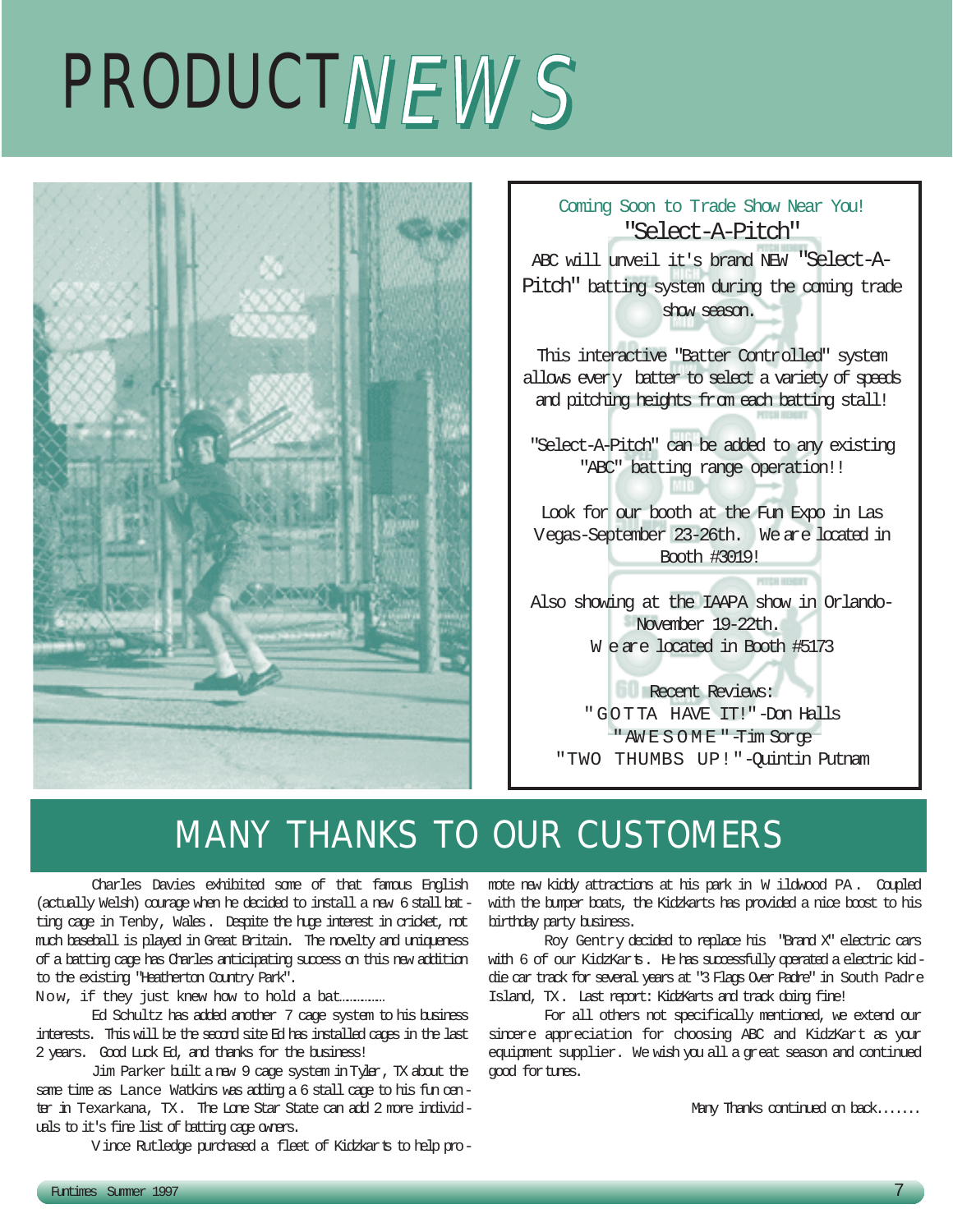# PRODUCTNEWS



Coming Soon to Trade Show Near You! "Select-A-Pitch" ABC will unveil it's brand NEW "Select-A-Pitch" batting system during the coming trade show season. This interactive "Batter Controlled" system allows every batter to select a variety of speeds and pitching heights from each batting stall! "Select-A-Pitch" can be added to any existing "ABC" batting range operation!! Look for our booth at the Fun Expo in Las Vegas-September 23-26th. We are located in Booth #3019! Also showing at the IAAPA show in Orlando-November 19-22th. W e are located in Booth #5173 **Recent Reviews:** "GOTTA HAVE IT!"-Don Halls

# MANY THANKS TO OUR CUSTOMERS

Charles Davies exhibited some of that famous English (actually Welsh) courage when he decided to install a new 6 stall batting cage in Tenby, Wales. Despite the huge interest in cricket, not much baseball is played in Great Britain. The novelty and uniqueness of a batting cage has Charles anticipating success on this new addition to the existing "Heatherton Country Park".

Now, if they just knew how to hold a bat………………

Ed Schultz has added another 7 cage system to his business interests. This will be the second site Ed has installed cages in the last 2 years. Good Luck Ed, and thanks for the business!

Jim Parker built a new 9 cage system inTyler, TX about the same time as Lance Watkins was adding a 6 stall cage to his fun center in Texarkana, TX. The Lone Star State can add 2 more individuals to it's fine list of batting cage owners.

Vince Rutledge purchased a fleet of Kidzkarts to help pro-

mote new kiddy attractions at his park in W ildwood PA . Coupled with the bumper boats, the Kidzkarts has provided a nice boost to his birthday party business.

"AW E S O M E "-Tim Sorge "TWO THUMBS UP!"-Quintin Putnam

Roy Gentry decided to replace his "Brand X" electric cars with 6 of our KidzKarts. He has successfully operated a electric kiddie car track for several years at "3 Flags Over Padre" in South Padre Island, TX. Last report: KidzKarts and track doing fine!

For all others not specifically mentioned, we extend our sincere appreciation for choosing ABC and KidzKart as your equipment supplier. We wish you all a great season and continued good fortunes.

Many Thanks continued on back.......